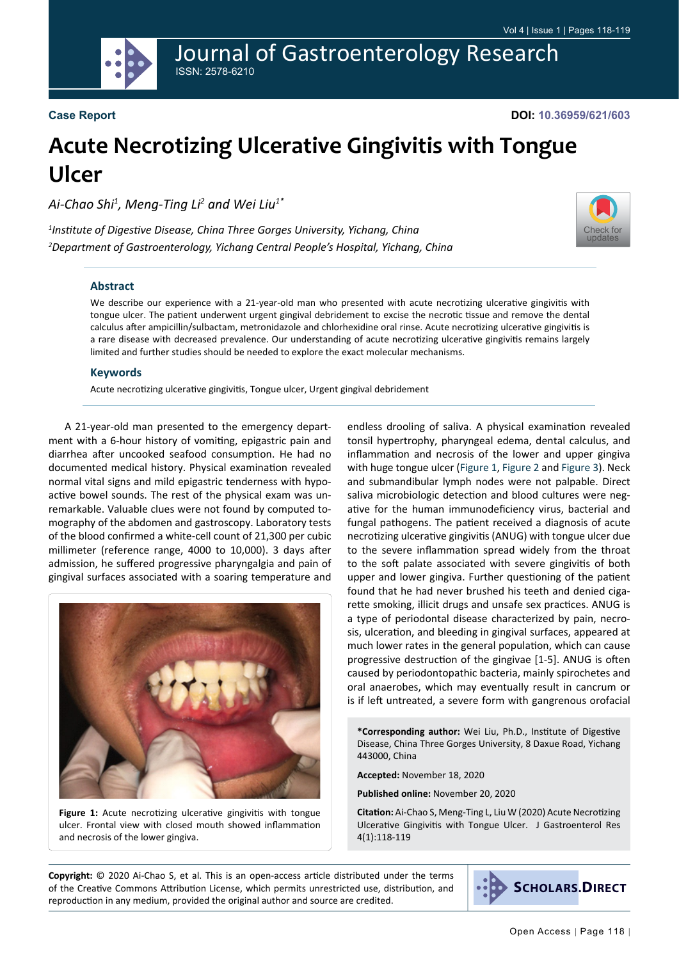Journal of Gastroenterology Research ISSN: 2578-6210

#### **Case Report**

**DOI: 10.36959/621/603**

[Check for](http://crossmark.crossref.org/dialog/?doi=10.36959/621/603&domain=pdf) updates

# **Acute Necrotizing Ulcerative Gingivitis with Tongue Ulcer**

*Ai-Chao Shi1 , Meng-Ting Li2 and Wei Liu1\**

*1 Institute of Digestive Disease, China Three Gorges University, Yichang, China 2 Department of Gastroenterology, Yichang Central People's Hospital, Yichang, China*

#### **Abstract**

We describe our experience with a 21-year-old man who presented with acute necrotizing ulcerative gingivitis with tongue ulcer. The patient underwent urgent gingival debridement to excise the necrotic tissue and remove the dental calculus after ampicillin/sulbactam, metronidazole and chlorhexidine oral rinse. Acute necrotizing ulcerative gingivitis is a rare disease with decreased prevalence. Our understanding of acute necrotizing ulcerative gingivitis remains largely limited and further studies should be needed to explore the exact molecular mechanisms.

#### **Keywords**

Acute necrotizing ulcerative gingivitis, Tongue ulcer, Urgent gingival debridement

A 21-year-old man presented to the emergency department with a 6-hour history of vomiting, epigastric pain and diarrhea after uncooked seafood consumption. He had no documented medical history. Physical examination revealed normal vital signs and mild epigastric tenderness with hypoactive bowel sounds. The rest of the physical exam was unremarkable. Valuable clues were not found by computed tomography of the abdomen and gastroscopy. Laboratory tests of the blood confirmed a white-cell count of 21,300 per cubic millimeter (reference range, 4000 to 10,000). 3 days after admission, he suffered progressive pharyngalgia and pain of gingival surfaces associated with a soaring temperature and

<span id="page-0-0"></span>

Figure 1: Acute necrotizing ulcerative gingivitis with tongue ulcer. Frontal view with closed mouth showed inflammation and necrosis of the lower gingiva.

endless drooling of saliva. A physical examination revealed tonsil hypertrophy, pharyngeal edema, dental calculus, and inflammation and necrosis of the lower and upper gingiva with huge tongue ulcer [\(Figure 1](#page-0-0), [Figure 2](#page-1-0) and [Figure 3\)](#page-1-1). Neck and submandibular lymph nodes were not palpable. Direct saliva microbiologic detection and blood cultures were negative for the human immunodeficiency virus, bacterial and fungal pathogens. The patient received a diagnosis of acute necrotizing ulcerative gingivitis (ANUG) with tongue ulcer due to the severe inflammation spread widely from the throat to the soft palate associated with severe gingivitis of both upper and lower gingiva. Further questioning of the patient found that he had never brushed his teeth and denied cigarette smoking, illicit drugs and unsafe sex practices. ANUG is a type of periodontal disease characterized by pain, necrosis, ulceration, and bleeding in gingival surfaces, appeared at much lower rates in the general population, which can cause progressive destruction of the gingivae [1-5]. ANUG is often caused by periodontopathic bacteria, mainly spirochetes and oral anaerobes, which may eventually result in cancrum or is if left untreated, a severe form with gangrenous orofacial

**\*Corresponding author:** Wei Liu, Ph.D., Institute of Digestive Disease, China Three Gorges University, 8 Daxue Road, Yichang 443000, China

**Accepted:** November 18, 2020

**Published online:** November 20, 2020

**Citation:** Ai-Chao S, Meng-Ting L, Liu W (2020) Acute Necrotizing Ulcerative Gingivitis with Tongue Ulcer. J Gastroenterol Res 4(1):118-119

**Copyright:** © 2020 Ai-Chao S, et al. This is an open-access article distributed under the terms of the Creative Commons Attribution License, which permits unrestricted use, distribution, and reproduction in any medium, provided the original author and source are credited.